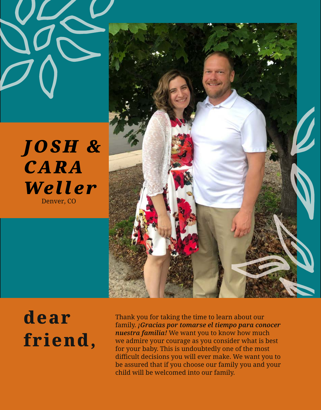



## **dear friend,**

Thank you for taking the time to learn about our family. *¡Gracias por tomarse el tiempo para conocer nuestra familia!* We want you to know how much we admire your courage as you consider what is best for your baby. This is undoubtedly one of the most difficult decisions you will ever make. We want you to be assured that if you choose our family you and your child will be welcomed into our family.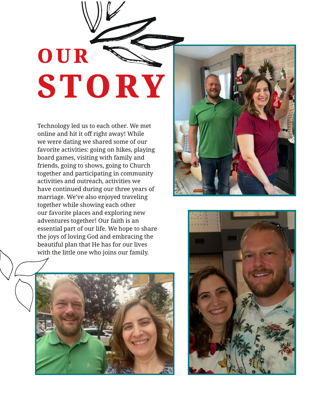# **OUR STORY**

Technology led us to each other. We met online and hit it off right away! While we were dating we shared some of our favorite activities: going on hikes, playing board games, visiting with family and friends, going to shows, going to Church together and participating in community activities and outreach, activities we have continued during our three years of marriage. We've also enjoyed traveling together while showing each other our favorite places and exploring new adventures together! Our faith is an essential part of our life. We hope to share the joys of loving God and embracing the beautiful plan that He has for our lives with the little one who joins our family.





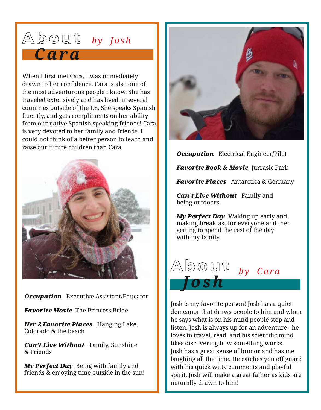#### **About** *by Josh Cara*

When I first met Cara, I was immediately drawn to her confidence. Cara is also one of the most adventurous people I know. She has traveled extensively and has lived in several countries outside of the US. She speaks Spanish fluently, and gets compliments on her ability from our native Spanish speaking friends! Cara is very devoted to her family and friends. I could not think of a better person to teach and raise our future children than Cara.



*Occupation* Executive Assistant/Educator

*Favorite Movie* The Princess Bride

*Her 2 Favorite Places* Hanging Lake, Colorado & the beach

*Can't Live Without* Family, Sunshine & Friends

*My Perfect Day* Being with family and friends & enjoying time outside in the sun!



*Occupation* Electrical Engineer/Pilot

*Favorite Book & Movie* Jurrasic Park

*Favorite Places* Antarctica & Germany

*Can't Live Without* Family and being outdoors

*My Perfect Day* Waking up early and making breakfast for everyone and then getting to spend the rest of the day with my family.



Josh is my favorite person! Josh has a quiet demeanor that draws people to him and when he says what is on his mind people stop and listen. Josh is always up for an adventure - he loves to travel, read, and his scientific mind likes discovering how something works. Josh has a great sense of humor and has me laughing all the time. He catches you off guard with his quick witty comments and playful spirit. Josh will make a great father as kids are naturally drawn to him!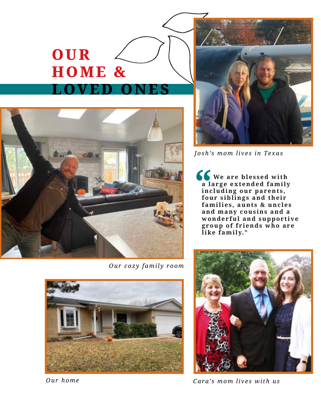### **OUR HOME & LOVED ONES**



*Our cozy family room*



*Josh's mom lives in Texas*

**We are blessed with a l a r g e e x t e n d e d f a m i l y i n c l u d i n g o u r p a r e n t s , f** We are blessed with<br>a large extended family<br>including our parents,<br>four siblings and their<br>families, aunts & uncle families, aunts & uncles and many cousins and a wonderful and supportive **g r o u p o f f r i e n d s w h o a r e like family."**



*Cara's mom lives with us*



*Our home*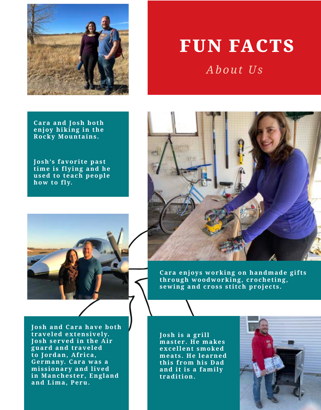

#### FUN FACTS *About Us*

**Cara and Josh both**  $\overline{e}$  n joy hiking in the **Rocky Mountains.**

**Josh's favorite past time is flying and he** used to teach people **how to fly.**





**Cara enjoys working on handmade gifts** through woodworking, crocheting, **sewing and cross stitch projects.**

**Josh and Cara have both t ra v e l e d e x t e n s i v e l y. Josh served in the Air** guard and traveled to Jordan, Africa, Germany. Cara was a missionary and lived in Manchester, England **and Lima, Peru.**

**J o s h i s a g r i l l m a s t e r . H e m a ke s e x c e l l e n t s m o ke d**  meats. He learned this from his Dad and it is a family **tradition.**